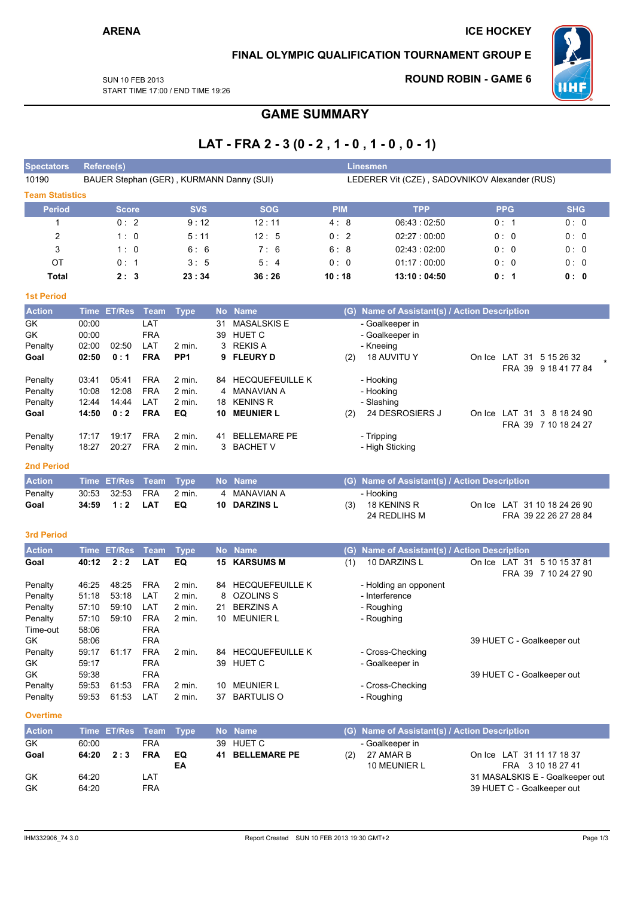## FINAL OLYMPIC QUALIFICATION TOURNAMENT GROUP E

**SUN 10 FEB 2013** START TIME 17:00 / END TIME 19:26

## **ROUND ROBIN - GAME 6**



**GAME SUMMARY** 

# LAT - FRA 2 - 3 (0 - 2, 1 - 0, 1 - 0, 0 - 1)

| Goal                               | 34:59          | 1:2            | <b>LAT</b>               | EQ                          | 10        | <b>DARZINS L</b>                         | (3)        | 18 KENINS R<br>24 REDLIHS M                   |  |               | On Ice LAT 31 10 18 24 26 90<br>FRA 39 22 26 27 28 84 |  |  |  |
|------------------------------------|----------------|----------------|--------------------------|-----------------------------|-----------|------------------------------------------|------------|-----------------------------------------------|--|---------------|-------------------------------------------------------|--|--|--|
| Penalty                            | 30:53          | 32:53          | <b>FRA</b>               | $2$ min.                    |           | <b>MANAVIAN A</b>                        |            | - Hooking                                     |  |               |                                                       |  |  |  |
| <b>2nd Period</b><br><b>Action</b> |                | Time ET/Res    | <b>Team</b>              | <b>Type</b>                 |           | No Name                                  | (G)        | Name of Assistant(s) / Action Description     |  |               |                                                       |  |  |  |
| Penalty<br>Penalty                 | 17:17<br>18:27 | 19:17<br>20:27 | <b>FRA</b><br><b>FRA</b> | $2$ min.<br>$2$ min.        | 41<br>3   | <b>BELLEMARE PE</b><br><b>BACHET V</b>   |            | - Tripping<br>- High Sticking                 |  |               |                                                       |  |  |  |
|                                    |                |                |                          |                             |           |                                          |            |                                               |  |               | FRA 39 7 10 18 24 27                                  |  |  |  |
| Penalty<br>Goal                    | 14:50          | 0:2            | <b>FRA</b>               | $2$ min.<br>EQ              | 10        | <b>MEUNIER L</b>                         | (2)        | - Slashing<br>24 DESROSIERS J                 |  | On Ice LAT 31 | 3 8 18 24 90                                          |  |  |  |
| Penalty                            | 10:08<br>12:44 | 12:08<br>14:44 | <b>FRA</b><br>LAT        | $2$ min.                    | 4<br>18   | <b>MANAVIAN A</b><br><b>KENINS R</b>     |            | - Hooking                                     |  |               |                                                       |  |  |  |
| Penalty                            | 03:41          | 05:41          | <b>FRA</b>               | $2$ min.                    |           | 84 HECQUEFEUILLE K                       |            | - Hooking                                     |  |               |                                                       |  |  |  |
|                                    |                |                |                          |                             |           |                                          |            |                                               |  |               | FRA 39 9 18 41 77 84                                  |  |  |  |
| Penalty<br>Goal                    | 02:00<br>02:50 | 02:50<br>0:1   | LAT<br><b>FRA</b>        | $2$ min.<br>PP <sub>1</sub> | 3<br>9    | <b>REKIS A</b><br><b>FLEURY D</b>        | (2)        | - Kneeing<br><b>18 AUVITU Y</b>               |  |               | On Ice LAT 31 5 15 26 32                              |  |  |  |
| <b>GK</b>                          | 00:00          |                | <b>FRA</b>               |                             | 39        | <b>HUET C</b>                            |            | - Goalkeeper in                               |  |               |                                                       |  |  |  |
| <b>GK</b>                          | 00:00          |                | LAT                      |                             | 31        | <b>MASALSKIS E</b>                       |            | - Goalkeeper in                               |  |               |                                                       |  |  |  |
| <b>Action</b>                      | <b>Time</b>    | <b>ET/Res</b>  | <b>Team</b>              | <b>Type</b>                 | <b>No</b> | <b>Name</b>                              |            | (G) Name of Assistant(s) / Action Description |  |               |                                                       |  |  |  |
| <b>1st Period</b>                  |                |                |                          |                             |           |                                          |            |                                               |  |               |                                                       |  |  |  |
| <b>Total</b>                       |                | 2:3            |                          | 23:34                       |           | 36:26                                    | 10:18      | 13:10:04:50                                   |  | 0:1           | 0: 0                                                  |  |  |  |
| OT                                 |                | 0:1            |                          | 3:5                         |           | 5:4                                      | 0:0        | 01:17:00:00                                   |  | 0:0           | 0: 0                                                  |  |  |  |
| 3                                  |                | 1:0            |                          | 6:6                         |           | 7:6                                      | 6:8        | 02:43:02:00                                   |  | 0:0           | 0:0                                                   |  |  |  |
| $\overline{c}$                     |                | 1:0            |                          | 5:11                        |           | 12:5                                     | 0:2        | 02:27:00:00                                   |  | 0:0           | 0:0                                                   |  |  |  |
| 1                                  |                | 0:2            |                          | 9:12                        |           | 12:11                                    | 4:8        | 06:43:02:50                                   |  | 0:1           | 0:0                                                   |  |  |  |
| <b>Period</b>                      |                | <b>Score</b>   |                          | <b>SVS</b>                  |           | <b>SOG</b>                               | <b>PIM</b> | <b>TPP</b>                                    |  | <b>PPG</b>    | <b>SHG</b>                                            |  |  |  |
| <b>Team Statistics</b>             |                |                |                          |                             |           |                                          |            |                                               |  |               |                                                       |  |  |  |
| 10190                              |                |                |                          |                             |           | BAUER Stephan (GER), KURMANN Danny (SUI) |            | LEDERER Vit (CZE), SADOVNIKOV Alexander (RUS) |  |               |                                                       |  |  |  |
| <b>Spectators</b>                  |                | Referee(s)     |                          |                             |           |                                          |            | <b>Linesmen</b>                               |  |               |                                                       |  |  |  |

#### 3rd Period

| <b>Action</b> |       | Time ET/Res | Team       | <b>Type</b> | No l | <b>Name</b>            | (G) | <b>Name of Assistant(s) / Action Description</b> |        |            |                                       |
|---------------|-------|-------------|------------|-------------|------|------------------------|-----|--------------------------------------------------|--------|------------|---------------------------------------|
| Goal          | 40:12 | 2:2         | LAT        | EQ          | 15.  | <b>KARSUMS M</b>       | (1) | 10 DARZINS L                                     | On Ice | -31<br>LAT | 5 10 15 37 81<br>FRA 39 7 10 24 27 90 |
| Penalty       | 46:25 | 48:25       | <b>FRA</b> | 2 min.      | 84   | <b>HECQUEFEUILLE K</b> |     | - Holding an opponent                            |        |            |                                       |
| Penalty       | 51:18 | 53:18       | LAT        | 2 min.      |      | 8 OZOLINS S            |     | - Interference                                   |        |            |                                       |
| Penalty       | 57:10 | 59:10       | LAT        | 2 min.      | 21   | <b>BERZINS A</b>       |     | - Roughing                                       |        |            |                                       |
| Penalty       | 57:10 | 59:10       | <b>FRA</b> | 2 min.      | 10   | <b>MEUNIER L</b>       |     | - Roughing                                       |        |            |                                       |
| Time-out      | 58:06 |             | <b>FRA</b> |             |      |                        |     |                                                  |        |            |                                       |
| GK.           | 58:06 |             | <b>FRA</b> |             |      |                        |     |                                                  |        |            | 39 HUET C - Goalkeeper out            |
| Penalty       | 59:17 | 61:17       | <b>FRA</b> | 2 min.      | 84   | <b>HECQUEFEUILLE K</b> |     | - Cross-Checking                                 |        |            |                                       |
| GK            | 59:17 |             | <b>FRA</b> |             | 39   | <b>HUET C</b>          |     | - Goalkeeper in                                  |        |            |                                       |
| GK            | 59:38 |             | <b>FRA</b> |             |      |                        |     |                                                  |        |            | 39 HUET C - Goalkeeper out            |
| Penalty       | 59:53 | 61:53       | <b>FRA</b> | 2 min.      | 10   | <b>MEUNIER L</b>       |     | - Cross-Checking                                 |        |            |                                       |
| Penalty       | 59:53 | 61:53       | LAT        | 2 min.      | 37   | <b>BARTULIS O</b>      |     | - Roughing                                       |        |            |                                       |

**Overtime** 

| <b>Action</b> |       | Time ET/Res Team Type |            |     | No Name         |     | (G) Name of Assistant(s) / Action Description |                                 |
|---------------|-------|-----------------------|------------|-----|-----------------|-----|-----------------------------------------------|---------------------------------|
| GK            | 60:00 |                       | FRA        |     | 39 HUET C       |     | - Goalkeeper in                               |                                 |
| Goal          | 64:20 | 2:3                   | <b>FRA</b> | EQ. | 41 BELLEMARE PE | (2) | 27 AMAR B                                     | On Ice LAT 31 11 17 18 37       |
|               |       |                       |            | ΕA  |                 |     | 10 MEUNIER L                                  | FRA 3 10 18 27 41               |
| GK            | 64:20 |                       | LAT        |     |                 |     |                                               | 31 MASALSKIS E - Goalkeeper out |
| GK            | 64:20 |                       | FRA        |     |                 |     |                                               | 39 HUET C - Goalkeeper out      |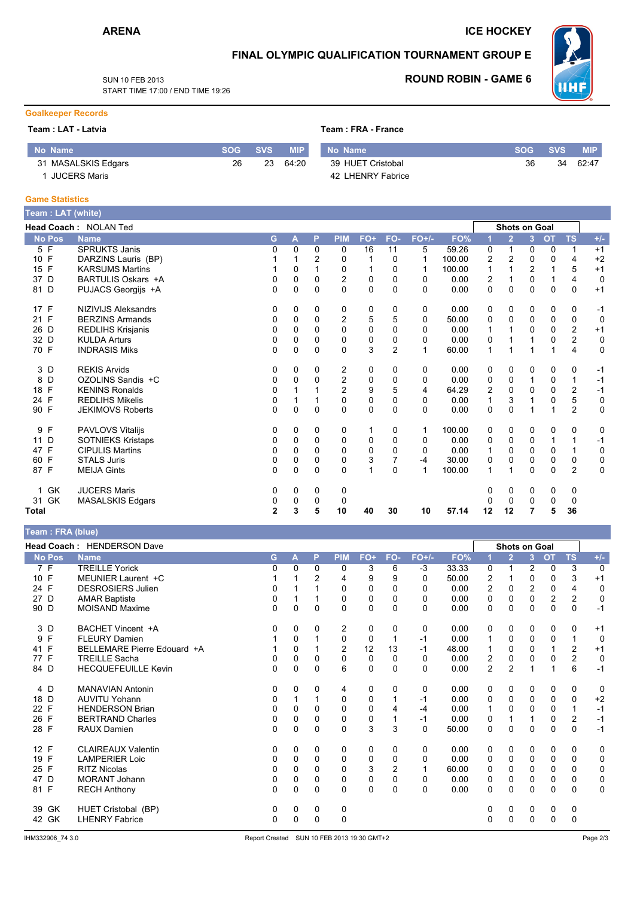### **ICE HOCKEY**

### FINAL OLYMPIC QUALIFICATION TOURNAMENT GROUP E

SUN 10 FFB 2013 START TIME 17:00 / END TIME 19:26

# **ROUND ROBIN - GAME 6**



### **Goalkeeper Records**

#### Team : LAT - Latvia

Team: FRA - France

| No Name             | <b>SOG</b> | SVS. | MIP.  | No Name           | <b>SOG</b> | <b>SVS.</b> | <b>MIP</b> |
|---------------------|------------|------|-------|-------------------|------------|-------------|------------|
| 31 MASALSKIS Edgars | 26         | 23   | 64:20 | 39 HUET Cristobal | 36         | 34          | 62:47      |
| <b>JUCERS Maris</b> |            |      |       | 42 LHENRY Fabrice |            |             |            |

#### **Game Statistics**

| leam : LAT (white) |                            |          |   |          |                |             |                |          |        |    |                      |                |             |                |             |
|--------------------|----------------------------|----------|---|----------|----------------|-------------|----------------|----------|--------|----|----------------------|----------------|-------------|----------------|-------------|
|                    | Head Coach: NOLAN Ted      |          |   |          |                |             |                |          |        |    | <b>Shots on Goal</b> |                |             |                |             |
| <b>No Pos</b>      | <b>Name</b>                | G        | A | P        | <b>PIM</b>     | FO+         | FO-            | $FO+/-$  | FO%    | 1  | $\overline{2}$       | 3 <sup>1</sup> | <b>OT</b>   | <b>TS</b>      | $+/-$       |
| 5 F                | <b>SPRUKTS Janis</b>       | U        | 0 | 0        | 0              | 16          | 11             | 5        | 59.26  | 0  | 1                    | 0              | 0           | 1              | $+1$        |
| 10 F               | DARZINS Lauris (BP)        |          |   | 2        | 0              |             | 0              | 1        | 100.00 | 2  | $\overline{2}$       | 0              | 0           | 4              | $+2$        |
| F<br>15            | <b>KARSUMS Martins</b>     |          | 0 |          | 0              |             | 0              | 1        | 100.00 | 1  |                      | 2              |             | 5              | $+1$        |
| D<br>37            | BARTULIS Oskars +A         | 0        | 0 | 0        | $\overline{2}$ | 0           | 0              | 0        | 0.00   | 2  |                      | 0              |             | 4              | $\mathbf 0$ |
| 81 D               | PUJACS Georgijs +A         | 0        | 0 | $\Omega$ | $\Omega$       | $\Omega$    | 0              | 0        | 0.00   | 0  | $\Omega$             | 0              | $\Omega$    | 0              | $+1$        |
| 17 F               | <b>NIZIVIJS Aleksandrs</b> | 0        | 0 | 0        | 0              | 0           | 0              | 0        | 0.00   | 0  | 0                    | 0              | 0           | 0              | $-1$        |
| 21 F               | <b>BERZINS Armands</b>     | 0        | 0 | $\Omega$ | $\overline{c}$ | 5           | 5              | $\Omega$ | 50.00  | 0  | 0                    | $\mathbf 0$    | $\mathbf 0$ | 0              | $\mathbf 0$ |
| 26<br>D            | <b>REDLIHS Krisjanis</b>   | 0        | 0 | $\Omega$ | 0              | 0           | 0              | 0        | 0.00   | 1  |                      | 0              | 0           | 2              | $+1$        |
| 32 D               | <b>KULDA Arturs</b>        | 0        | 0 | $\Omega$ | $\Omega$       | 0           | $\Omega$       | $\Omega$ | 0.00   | 0  |                      |                | $\Omega$    | 2              | 0           |
| 70 F               | <b>INDRASIS Miks</b>       | 0        | 0 | 0        | 0              | 3           | $\overline{2}$ | 1        | 60.00  | 1  |                      |                |             | 4              | 0           |
| 3 D                | <b>REKIS Arvids</b>        | 0        | 0 | 0        | 2              | 0           | 0              | 0        | 0.00   | 0  | 0                    | 0              | 0           | 0              | $-1$        |
| D<br>8             | OZOLINS Sandis +C          | 0        | 0 | 0        | $\overline{2}$ | 0           | 0              | 0        | 0.00   | 0  | 0                    |                | 0           | 1              | $-1$        |
| F<br>18            | <b>KENINS Ronalds</b>      | 0        |   |          | $\overline{c}$ | 9           | 5              | 4        | 64.29  | 2  | 0                    | $\Omega$       | 0           | 2              | $-1$        |
| F<br>24            | <b>REDLIHS Mikelis</b>     | 0        |   |          | 0              | $\mathbf 0$ | 0              | $\Omega$ | 0.00   | 1  | 3                    |                | 0           | 5              | 0           |
| 90 F               | <b>JEKIMOVS Roberts</b>    | 0        | 0 | $\Omega$ | $\Omega$       | $\Omega$    | $\Omega$       | $\Omega$ | 0.00   | 0  | $\Omega$             |                |             | $\overline{2}$ | $\mathbf 0$ |
| 9 F                | PAVLOVS Vitalijs           | 0        | 0 | 0        | 0              |             | 0              | 1        | 100.00 | 0  | 0                    | 0              | 0           | 0              | 0           |
| D<br>11            | <b>SOTNIEKS Kristaps</b>   | 0        | 0 | 0        | 0              | 0           | 0              | 0        | 0.00   | 0  | 0                    | 0              | 1           | 1              | $-1$        |
| F<br>47            | <b>CIPULIS Martins</b>     | 0        | 0 | $\Omega$ | $\mathbf 0$    | $\mathbf 0$ | 0              | 0        | 0.00   |    | 0                    | 0              | 0           |                | 0           |
| F<br>60            | <b>STALS Juris</b>         | 0        | 0 | 0        | 0              | 3           |                | -4       | 30.00  | 0  | 0                    | 0              | 0           | 0              | $\mathbf 0$ |
| 87 F               | <b>MEIJA Gints</b>         | $\Omega$ | 0 | $\Omega$ | $\Omega$       | 1           | 0              | 1        | 100.00 | 1  | 1                    | 0              | $\Omega$    | $\overline{2}$ | $\mathbf 0$ |
| GK<br>1.           | <b>JUCERS Maris</b>        | 0        | 0 | 0        | 0              |             |                |          |        | 0  | 0                    | 0              | 0           | 0              |             |
| 31 GK              | <b>MASALSKIS Edgars</b>    | 0        | 0 | 0        | 0              |             |                |          |        | Ω  | 0                    | 0              | 0           | 0              |             |
| Total              |                            | 2        | 3 | 5        | 10             | 40          | 30             | 10       | 57.14  | 12 | 12                   | 7              | 5           | 36             |             |

Team: FRA (blue)

|               | Head Coach: HENDERSON Dave  |          |   |          |                |             |                |          |       |                | Shots on Goal  |                |                         |           |                |
|---------------|-----------------------------|----------|---|----------|----------------|-------------|----------------|----------|-------|----------------|----------------|----------------|-------------------------|-----------|----------------|
| <b>No Pos</b> | <b>Name</b>                 | G        | A | P        | <b>PIM</b>     | FO+         | FO-            | $FO+/-$  | FO%   | 1              | $\overline{2}$ | 3 <sup>1</sup> | <b>OT</b>               | <b>TS</b> | $+/-$          |
| 7 F           | <b>TREILLE Yorick</b>       | 0        | 0 | $\Omega$ | 0              | 3           | 6              | -3       | 33.33 | 0              |                | 2              | 0                       | 3         | $\overline{0}$ |
| 10 F          | MEUNIER Laurent +C          |          |   | 2        | 4              | 9           | 9              | 0        | 50.00 | 2              |                | 0              | 0                       | 3         | $+1$           |
| 24 F          | <b>DESROSIERS Julien</b>    | 0        |   |          | 0              | 0           | 0              | 0        | 0.00  | 2              | 0              | $\overline{c}$ | 0                       | 4         | 0              |
| 27 D          | <b>AMAR Baptiste</b>        | 0        |   |          | 0              | 0           | 0              | 0        | 0.00  | 0              | $\Omega$       | 0              | $\overline{\mathbf{c}}$ | 2         | 0              |
| 90 D          | <b>MOISAND Maxime</b>       | 0        | 0 | 0        | $\Omega$       | 0           | 0              | 0        | 0.00  | 0              | $\Omega$       | 0              | 0                       | 0         | $-1$           |
| 3 D           | BACHET Vincent +A           | 0        | 0 | 0        | 2              | 0           | 0              | 0        | 0.00  | 0              | 0              | 0              | 0                       | 0         | $+1$           |
| F<br>9        | <b>FLEURY Damien</b>        |          | 0 |          | $\mathbf 0$    | $\mathbf 0$ |                | -1       | 0.00  | 1              | $\mathbf 0$    | $\Omega$       | 0                       |           | $\mathbf 0$    |
| 41 F          | BELLEMARE Pierre Edouard +A |          | 0 |          | $\overline{2}$ | 12          | 13             | $-1$     | 48.00 |                | 0              | 0              |                         | 2         | $+1$           |
| 77 F          | <b>TREILLE Sacha</b>        | 0        | 0 |          | $\mathbf 0$    | $\mathbf 0$ | 0              | 0        | 0.00  | 2              | $\Omega$       | 0              | 0                       | 2         | $\mathbf 0$    |
| 84 D          | <b>HECQUEFEUILLE Kevin</b>  | $\Omega$ | 0 | $\Omega$ | 6              | $\mathbf 0$ | $\Omega$       | $\Omega$ | 0.00  | $\overline{2}$ | $\overline{2}$ |                |                         | 6         | $-1$           |
| 4 D           | <b>MANAVIAN Antonin</b>     | 0        | 0 | 0        | 4              | 0           | 0              | 0        | 0.00  | 0              | 0              | 0              | 0                       | 0         | 0              |
| 18 D          | <b>AUVITU Yohann</b>        | 0        |   |          | 0              | 0           |                | $-1$     | 0.00  | 0              | 0              | 0              | 0                       | 0         | $+2$           |
| 22 F          | <b>HENDERSON Brian</b>      | 0        | 0 | $\Omega$ | 0              | 0           |                | -4       | 0.00  |                | $\Omega$       | 0              | 0                       |           | $-1$           |
| 26 F          | <b>BERTRAND Charles</b>     | 0        | 0 | 0        | 0              | 0           |                | $-1$     | 0.00  | 0              |                |                | 0                       | 2         | $-1$           |
| 28 F          | RAUX Damien                 | 0        | 0 | 0        | 0              | 3           | 3              | 0        | 50.00 | 0              | 0              | 0              | 0                       | 0         | $-1$           |
| 12 F          | <b>CLAIREAUX Valentin</b>   | 0        | 0 | 0        | 0              | 0           | 0              | 0        | 0.00  | 0              | 0              | 0              | 0                       | 0         | 0              |
| 19 F          | <b>LAMPERIER Loic</b>       | 0        | 0 | $\Omega$ | 0              | 0           | 0              | $\Omega$ | 0.00  | 0              | 0              | $\Omega$       | 0                       | 0         | 0              |
| F<br>25       | <b>RITZ Nicolas</b>         | 0        | 0 | 0        | 0              | 3           | $\overline{c}$ |          | 60.00 | 0              | 0              | $\Omega$       | 0                       | 0         | 0              |
| 47<br>D       | MORANT Johann               | 0        | 0 | 0        | 0              | $\mathbf 0$ | 0              | 0        | 0.00  | 0              | 0              | 0              | 0                       | 0         | 0              |
| 81 F          | <b>RECH Anthony</b>         | 0        | 0 | $\Omega$ | $\Omega$       | 0           | 0              | 0        | 0.00  | 0              | 0              | 0              | 0                       | 0         | 0              |
| GK<br>39      | HUET Cristobal (BP)         | 0        | 0 | 0        | 0              |             |                |          |       | 0              | 0              | 0              | 0                       | 0         |                |
| 42 GK         | <b>LHENRY Fabrice</b>       | 0        | 0 | $\Omega$ | $\Omega$       |             |                |          |       | 0              | 0              | 0              | 0                       | 0         |                |
|               |                             |          |   |          |                |             |                |          |       |                |                |                |                         |           |                |